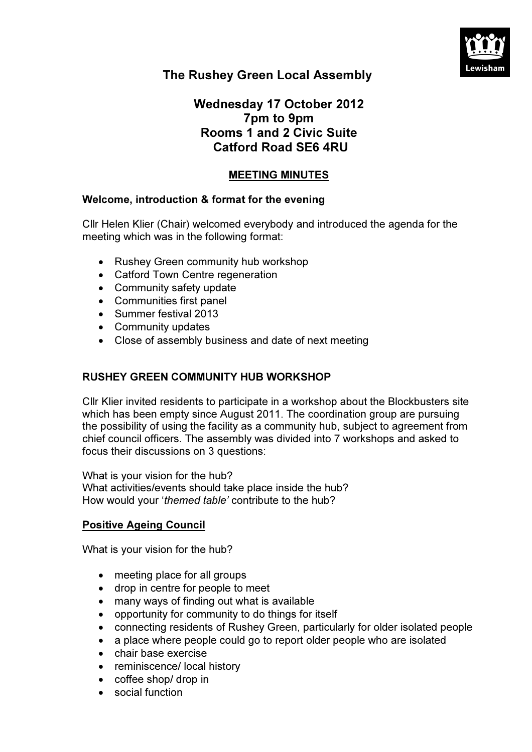

# The Rushey Green Local Assembly

## Wednesday 17 October 2012 7pm to 9pm Rooms 1 and 2 Civic Suite Catford Road SE6 4RU

## MEETING MINUTES

## Welcome, introduction & format for the evening

Cllr Helen Klier (Chair) welcomed everybody and introduced the agenda for the meeting which was in the following format:

- Rushey Green community hub workshop
- Catford Town Centre regeneration
- Community safety update
- Communities first panel
- Summer festival 2013
- Community updates
- Close of assembly business and date of next meeting

## RUSHEY GREEN COMMUNITY HUB WORKSHOP

Cllr Klier invited residents to participate in a workshop about the Blockbusters site which has been empty since August 2011. The coordination group are pursuing the possibility of using the facility as a community hub, subject to agreement from chief council officers. The assembly was divided into 7 workshops and asked to focus their discussions on 3 questions:

What is your vision for the hub? What activities/events should take place inside the hub? How would your 'themed table' contribute to the hub?

#### Positive Ageing Council

What is your vision for the hub?

- meeting place for all groups
- drop in centre for people to meet
- many ways of finding out what is available
- opportunity for community to do things for itself
- connecting residents of Rushey Green, particularly for older isolated people
- a place where people could go to report older people who are isolated
- chair base exercise
- reminiscence/ local history
- coffee shop/ drop in
- social function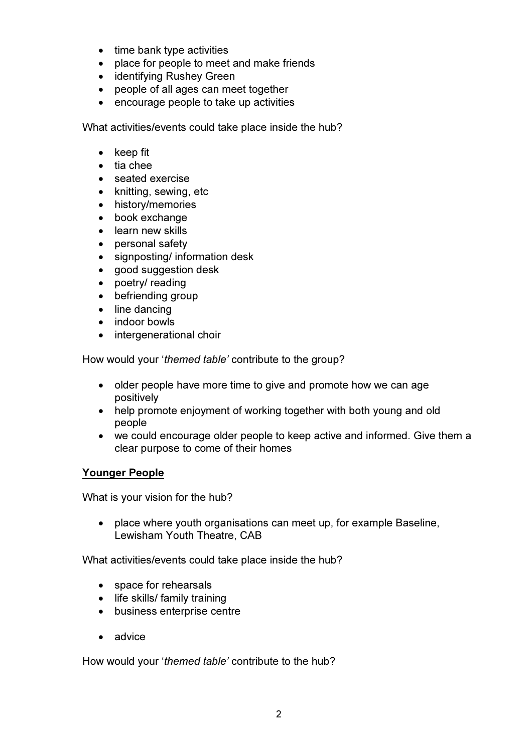- time bank type activities
- place for people to meet and make friends
- identifying Rushey Green
- people of all ages can meet together
- encourage people to take up activities

What activities/events could take place inside the hub?

- keep fit
- tia chee
- seated exercise
- knitting, sewing, etc
- history/memories
- book exchange
- learn new skills
- personal safety
- signposting/ information desk
- good suggestion desk
- poetry/ reading
- befriending group
- line dancing
- indoor bowls
- intergenerational choir

How would your 'themed table' contribute to the group?

- older people have more time to give and promote how we can age positively
- help promote enjoyment of working together with both young and old people
- we could encourage older people to keep active and informed. Give them a clear purpose to come of their homes

## Younger People

What is your vision for the hub?

• place where youth organisations can meet up, for example Baseline, Lewisham Youth Theatre, CAB

What activities/events could take place inside the hub?

- space for rehearsals
- life skills/ family training
- business enterprise centre
- advice

How would your 'themed table' contribute to the hub?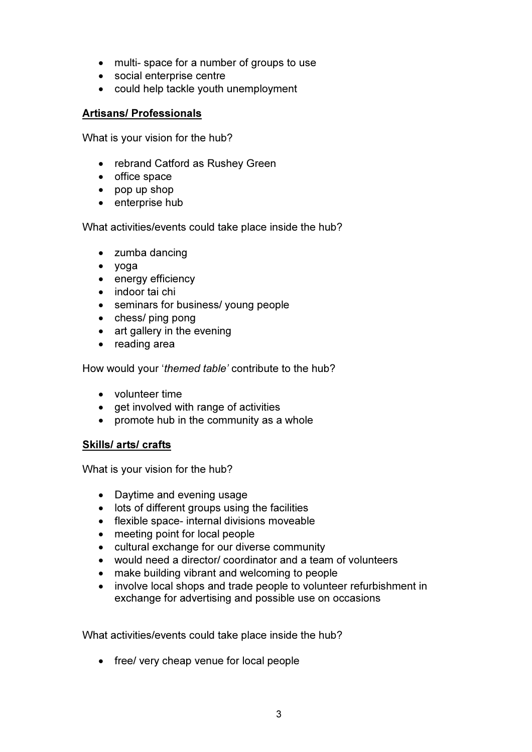- multi-space for a number of groups to use
- social enterprise centre
- could help tackle youth unemployment

### Artisans/ Professionals

What is your vision for the hub?

- rebrand Catford as Rushey Green
- office space
- pop up shop
- enterprise hub

What activities/events could take place inside the hub?

- zumba dancing
- yoga
- energy efficiency
- indoor tai chi
- seminars for business/ young people
- chess/ ping pong
- art gallery in the evening
- reading area

How would your 'themed table' contribute to the hub?

- volunteer time
- get involved with range of activities
- promote hub in the community as a whole

## Skills/ arts/ crafts

What is your vision for the hub?

- Daytime and evening usage
- lots of different groups using the facilities
- flexible space- internal divisions moveable
- meeting point for local people
- cultural exchange for our diverse community
- would need a director/ coordinator and a team of volunteers
- make building vibrant and welcoming to people
- involve local shops and trade people to volunteer refurbishment in exchange for advertising and possible use on occasions

What activities/events could take place inside the hub?

• free/ very cheap venue for local people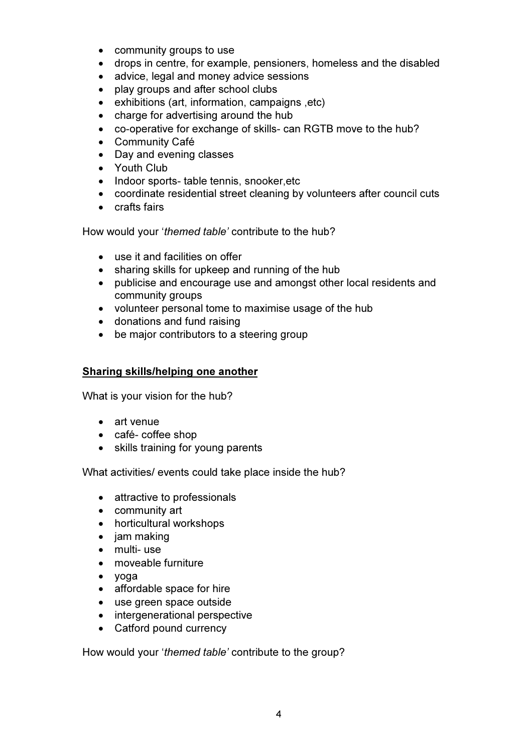- community groups to use
- drops in centre, for example, pensioners, homeless and the disabled
- advice, legal and money advice sessions
- play groups and after school clubs
- exhibitions (art, information, campaigns ,etc)
- charge for advertising around the hub
- co-operative for exchange of skills- can RGTB move to the hub?
- Community Café
- Day and evening classes
- Youth Club
- Indoor sports- table tennis, snooker, etc
- coordinate residential street cleaning by volunteers after council cuts
- crafts fairs

How would your 'themed table' contribute to the hub?

- use it and facilities on offer
- sharing skills for upkeep and running of the hub
- publicise and encourage use and amongst other local residents and community groups
- volunteer personal tome to maximise usage of the hub
- donations and fund raising
- be major contributors to a steering group

#### Sharing skills/helping one another

What is your vision for the hub?

- art venue
- café- coffee shop
- skills training for young parents

What activities/ events could take place inside the hub?

- attractive to professionals
- community art
- horticultural workshops
- jam making
- multi- use
- moveable furniture
- yoga
- affordable space for hire
- use green space outside
- intergenerational perspective
- Catford pound currency

How would your 'themed table' contribute to the group?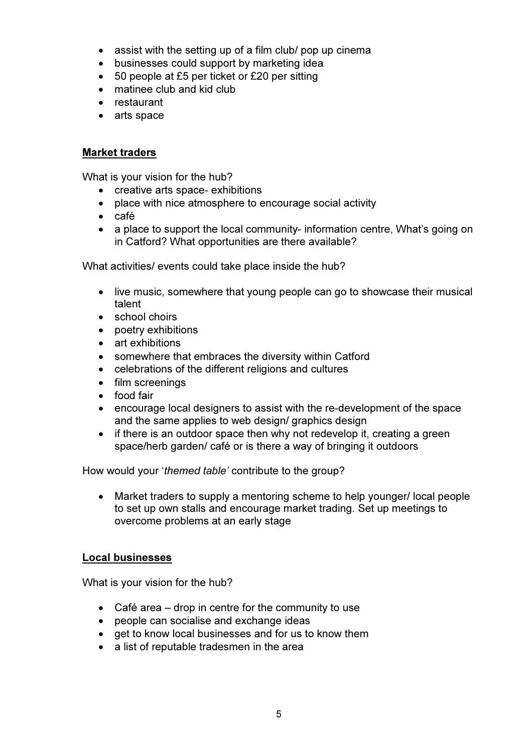- assist with the setting up of a film club/ pop up cinema
- businesses could support by marketing idea
- 50 people at £5 per ticket or £20 per sitting
- matinee club and kid club
- restaurant
- arts space

#### Market traders

What is your vision for the hub?

- creative arts space- exhibitions
- place with nice atmosphere to encourage social activity
- café
- a place to support the local community- information centre, What's going on in Catford? What opportunities are there available?

What activities/ events could take place inside the hub?

- live music, somewhere that young people can go to showcase their musical talent
- school choirs
- poetry exhibitions
- art exhibitions
- somewhere that embraces the diversity within Catford
- celebrations of the different religions and cultures
- film screenings
- food fair
- encourage local designers to assist with the re-development of the space and the same applies to web design/ graphics design
- if there is an outdoor space then why not redevelop it, creating a green space/herb garden/ café or is there a way of bringing it outdoors

How would your 'themed table' contribute to the group?

• Market traders to supply a mentoring scheme to help younger/ local people to set up own stalls and encourage market trading. Set up meetings to overcome problems at an early stage

#### Local businesses

What is your vision for the hub?

- Café area drop in centre for the community to use
- people can socialise and exchange ideas
- get to know local businesses and for us to know them
- a list of reputable tradesmen in the area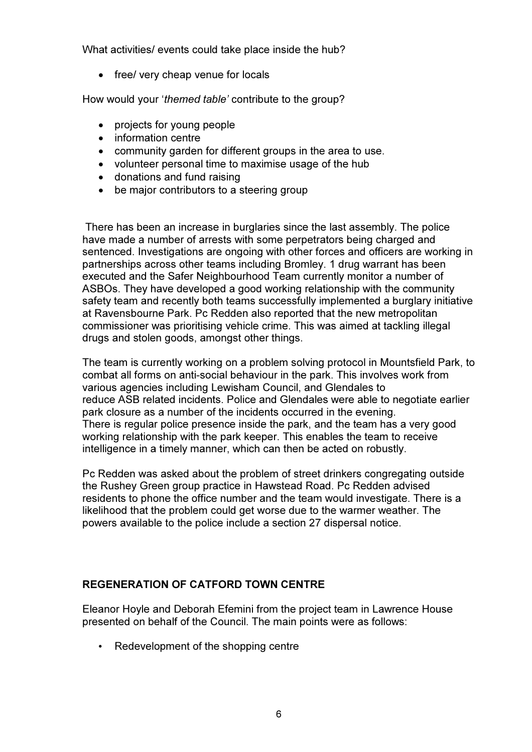What activities/ events could take place inside the hub?

• free/ very cheap venue for locals

How would your 'themed table' contribute to the group?

- projects for young people
- information centre
- community garden for different groups in the area to use.
- volunteer personal time to maximise usage of the hub
- donations and fund raising
- be major contributors to a steering group

 There has been an increase in burglaries since the last assembly. The police have made a number of arrests with some perpetrators being charged and sentenced. Investigations are ongoing with other forces and officers are working in partnerships across other teams including Bromley. 1 drug warrant has been executed and the Safer Neighbourhood Team currently monitor a number of ASBOs. They have developed a good working relationship with the community safety team and recently both teams successfully implemented a burglary initiative at Ravensbourne Park. Pc Redden also reported that the new metropolitan commissioner was prioritising vehicle crime. This was aimed at tackling illegal drugs and stolen goods, amongst other things.

The team is currently working on a problem solving protocol in Mountsfield Park, to combat all forms on anti-social behaviour in the park. This involves work from various agencies including Lewisham Council, and Glendales to reduce ASB related incidents. Police and Glendales were able to negotiate earlier park closure as a number of the incidents occurred in the evening. There is regular police presence inside the park, and the team has a very good working relationship with the park keeper. This enables the team to receive intelligence in a timely manner, which can then be acted on robustly.

Pc Redden was asked about the problem of street drinkers congregating outside the Rushey Green group practice in Hawstead Road. Pc Redden advised residents to phone the office number and the team would investigate. There is a likelihood that the problem could get worse due to the warmer weather. The powers available to the police include a section 27 dispersal notice.

## REGENERATION OF CATFORD TOWN CENTRE

Eleanor Hoyle and Deborah Efemini from the project team in Lawrence House presented on behalf of the Council. The main points were as follows:

• Redevelopment of the shopping centre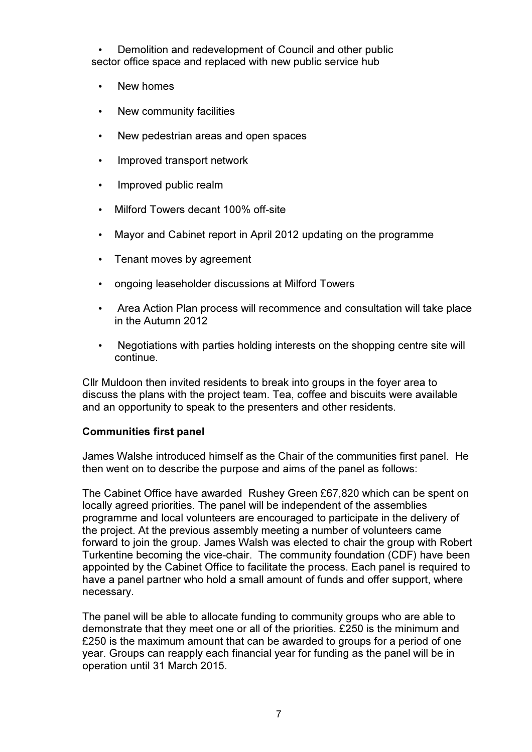• Demolition and redevelopment of Council and other public sector office space and replaced with new public service hub

- New homes
- New community facilities
- New pedestrian areas and open spaces
- Improved transport network
- Improved public realm
- Milford Towers decant 100% off-site
- Mayor and Cabinet report in April 2012 updating on the programme
- Tenant moves by agreement
- ongoing leaseholder discussions at Milford Towers
- Area Action Plan process will recommence and consultation will take place in the Autumn 2012
- Negotiations with parties holding interests on the shopping centre site will continue.

Cllr Muldoon then invited residents to break into groups in the foyer area to discuss the plans with the project team. Tea, coffee and biscuits were available and an opportunity to speak to the presenters and other residents.

#### Communities first panel

James Walshe introduced himself as the Chair of the communities first panel. He then went on to describe the purpose and aims of the panel as follows:

The Cabinet Office have awarded Rushey Green £67,820 which can be spent on locally agreed priorities. The panel will be independent of the assemblies programme and local volunteers are encouraged to participate in the delivery of the project. At the previous assembly meeting a number of volunteers came forward to join the group. James Walsh was elected to chair the group with Robert Turkentine becoming the vice-chair. The community foundation (CDF) have been appointed by the Cabinet Office to facilitate the process. Each panel is required to have a panel partner who hold a small amount of funds and offer support, where necessary.

The panel will be able to allocate funding to community groups who are able to demonstrate that they meet one or all of the priorities. £250 is the minimum and £250 is the maximum amount that can be awarded to groups for a period of one year. Groups can reapply each financial year for funding as the panel will be in operation until 31 March 2015.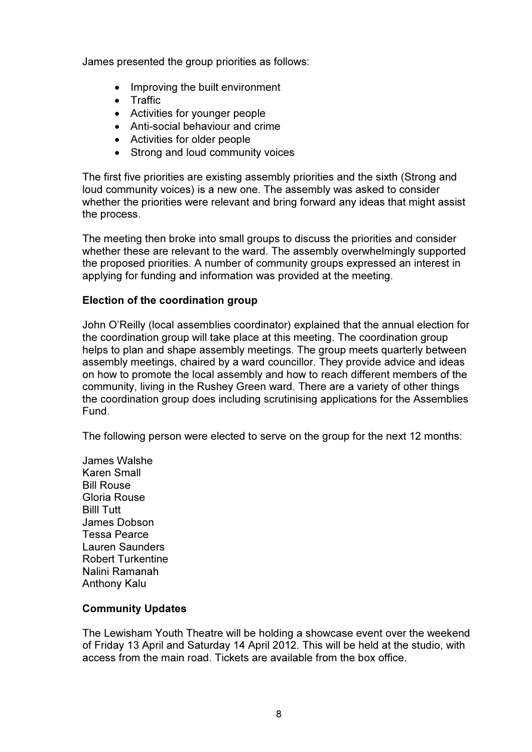James presented the group priorities as follows:

- Improving the built environment
- Traffic
- Activities for younger people
- Anti-social behaviour and crime
- Activities for older people
- Strong and loud community voices

The first five priorities are existing assembly priorities and the sixth (Strong and loud community voices) is a new one. The assembly was asked to consider whether the priorities were relevant and bring forward any ideas that might assist the process.

The meeting then broke into small groups to discuss the priorities and consider whether these are relevant to the ward. The assembly overwhelmingly supported the proposed priorities. A number of community groups expressed an interest in applying for funding and information was provided at the meeting.

#### Election of the coordination group

John O'Reilly (local assemblies coordinator) explained that the annual election for the coordination group will take place at this meeting. The coordination group helps to plan and shape assembly meetings. The group meets quarterly between assembly meetings, chaired by a ward councillor. They provide advice and ideas on how to promote the local assembly and how to reach different members of the community, living in the Rushey Green ward. There are a variety of other things the coordination group does including scrutinising applications for the Assemblies Fund.

The following person were elected to serve on the group for the next 12 months:

James Walshe Karen Small Bill Rouse Gloria Rouse Billl Tutt James Dobson Tessa Pearce Lauren Saunders Robert Turkentine Nalini Ramanah Anthony Kalu

#### Community Updates

The Lewisham Youth Theatre will be holding a showcase event over the weekend of Friday 13 April and Saturday 14 April 2012. This will be held at the studio, with access from the main road. Tickets are available from the box office.